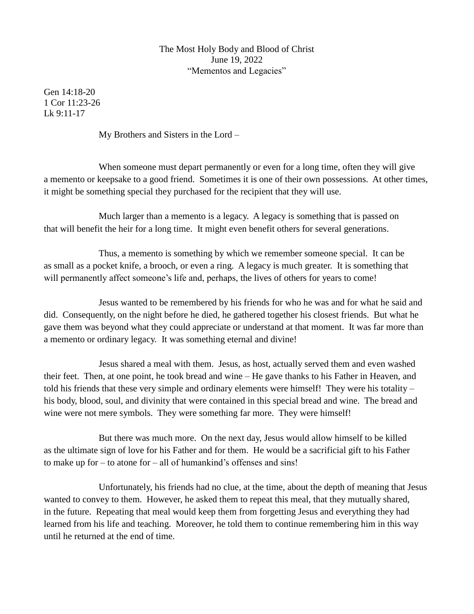## The Most Holy Body and Blood of Christ June 19, 2022 "Mementos and Legacies"

Gen 14:18-20 1 Cor 11:23-26  $Lk$  9:11-17

My Brothers and Sisters in the Lord –

When someone must depart permanently or even for a long time, often they will give a memento or keepsake to a good friend. Sometimes it is one of their own possessions. At other times, it might be something special they purchased for the recipient that they will use.

Much larger than a memento is a legacy. A legacy is something that is passed on that will benefit the heir for a long time. It might even benefit others for several generations.

Thus, a memento is something by which we remember someone special. It can be as small as a pocket knife, a brooch, or even a ring. A legacy is much greater. It is something that will permanently affect someone's life and, perhaps, the lives of others for years to come!

Jesus wanted to be remembered by his friends for who he was and for what he said and did. Consequently, on the night before he died, he gathered together his closest friends. But what he gave them was beyond what they could appreciate or understand at that moment. It was far more than a memento or ordinary legacy. It was something eternal and divine!

Jesus shared a meal with them. Jesus, as host, actually served them and even washed their feet. Then, at one point, he took bread and wine – He gave thanks to his Father in Heaven, and told his friends that these very simple and ordinary elements were himself! They were his totality – his body, blood, soul, and divinity that were contained in this special bread and wine. The bread and wine were not mere symbols. They were something far more. They were himself!

But there was much more. On the next day, Jesus would allow himself to be killed as the ultimate sign of love for his Father and for them. He would be a sacrificial gift to his Father to make up for – to atone for – all of humankind's offenses and sins!

Unfortunately, his friends had no clue, at the time, about the depth of meaning that Jesus wanted to convey to them. However, he asked them to repeat this meal, that they mutually shared, in the future. Repeating that meal would keep them from forgetting Jesus and everything they had learned from his life and teaching. Moreover, he told them to continue remembering him in this way until he returned at the end of time.